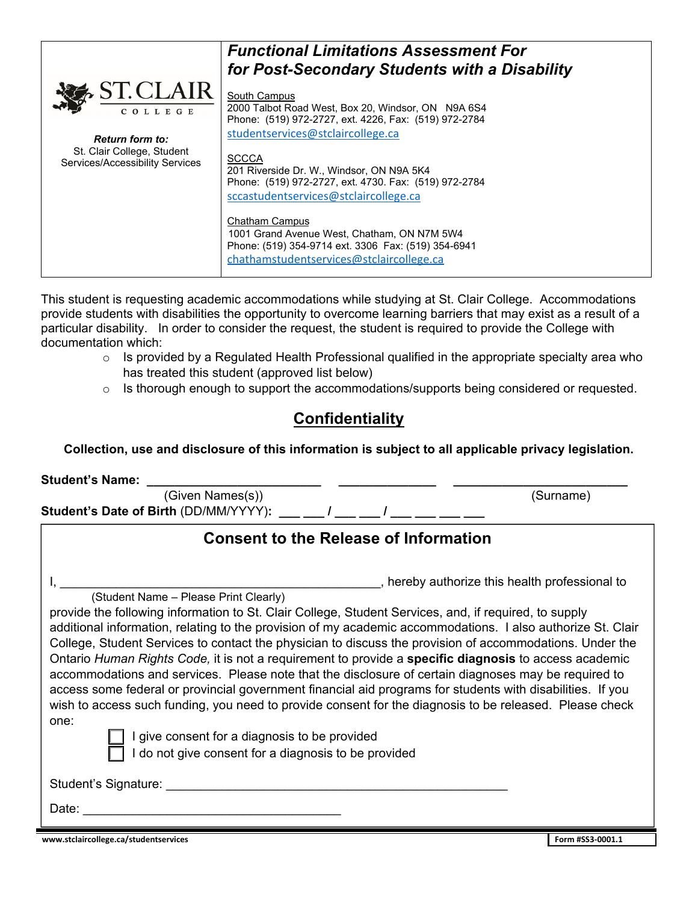|                                                               | <b>Functional Limitations Assessment For</b><br>for Post-Secondary Students with a Disability                                                                    |
|---------------------------------------------------------------|------------------------------------------------------------------------------------------------------------------------------------------------------------------|
| <b>ST.CLAIR</b><br>COLLEGE<br><b>Return form to:</b>          | South Campus<br>2000 Talbot Road West, Box 20, Windsor, ON N9A 6S4<br>Phone: (519) 972-2727, ext. 4226, Fax: (519) 972-2784<br>studentservices@stclaircollege.ca |
| St. Clair College, Student<br>Services/Accessibility Services | <b>SCCCA</b><br>201 Riverside Dr. W., Windsor, ON N9A 5K4<br>Phone: (519) 972-2727, ext. 4730. Fax: (519) 972-2784<br>sccastudentservices@stclaircollege.ca      |
|                                                               | Chatham Campus<br>1001 Grand Avenue West, Chatham, ON N7M 5W4<br>Phone: (519) 354-9714 ext. 3306 Fax: (519) 354-6941<br>chathamstudentservices@stclaircollege.ca |

This student is requesting academic accommodations while studying at St. Clair College. Accommodations provide students with disabilities the opportunity to overcome learning barriers that may exist as a result of a particular disability. In order to consider the request, the student is required to provide the College with documentation which:

- o Is provided by a Regulated Health Professional qualified in the appropriate specialty area who has treated this student (approved list below)
- o Is thorough enough to support the accommodations/supports being considered or requested.

## **Confidentiality**

#### **Collection, use and disclosure of this information is subject to all applicable privacy legislation.**

| <b>Student's Name:</b>                                                                                                                                                                                                                                                                                                                                                                                                                                                                                                                                                                                                                                                                                                                                                             |  |                                                |
|------------------------------------------------------------------------------------------------------------------------------------------------------------------------------------------------------------------------------------------------------------------------------------------------------------------------------------------------------------------------------------------------------------------------------------------------------------------------------------------------------------------------------------------------------------------------------------------------------------------------------------------------------------------------------------------------------------------------------------------------------------------------------------|--|------------------------------------------------|
| (Given Names(s))<br>Student's Date of Birth (DD/MM/YYYY): __ _ _ / __                                                                                                                                                                                                                                                                                                                                                                                                                                                                                                                                                                                                                                                                                                              |  | (Surname)                                      |
| <b>Consent to the Release of Information</b>                                                                                                                                                                                                                                                                                                                                                                                                                                                                                                                                                                                                                                                                                                                                       |  |                                                |
|                                                                                                                                                                                                                                                                                                                                                                                                                                                                                                                                                                                                                                                                                                                                                                                    |  | , hereby authorize this health professional to |
| (Student Name – Please Print Clearly)                                                                                                                                                                                                                                                                                                                                                                                                                                                                                                                                                                                                                                                                                                                                              |  |                                                |
| provide the following information to St. Clair College, Student Services, and, if required, to supply<br>additional information, relating to the provision of my academic accommodations. I also authorize St. Clair<br>College, Student Services to contact the physician to discuss the provision of accommodations. Under the<br>Ontario Human Rights Code, it is not a requirement to provide a specific diagnosis to access academic<br>accommodations and services. Please note that the disclosure of certain diagnoses may be required to<br>access some federal or provincial government financial aid programs for students with disabilities. If you<br>wish to access such funding, you need to provide consent for the diagnosis to be released. Please check<br>one: |  |                                                |
| give consent for a diagnosis to be provided                                                                                                                                                                                                                                                                                                                                                                                                                                                                                                                                                                                                                                                                                                                                        |  |                                                |
| do not give consent for a diagnosis to be provided                                                                                                                                                                                                                                                                                                                                                                                                                                                                                                                                                                                                                                                                                                                                 |  |                                                |
| Student's Signature: example and the state of the state of the state of the state of the state of the state of the state of the state of the state of the state of the state of the state of the state of the state of the sta                                                                                                                                                                                                                                                                                                                                                                                                                                                                                                                                                     |  |                                                |
| Date:                                                                                                                                                                                                                                                                                                                                                                                                                                                                                                                                                                                                                                                                                                                                                                              |  |                                                |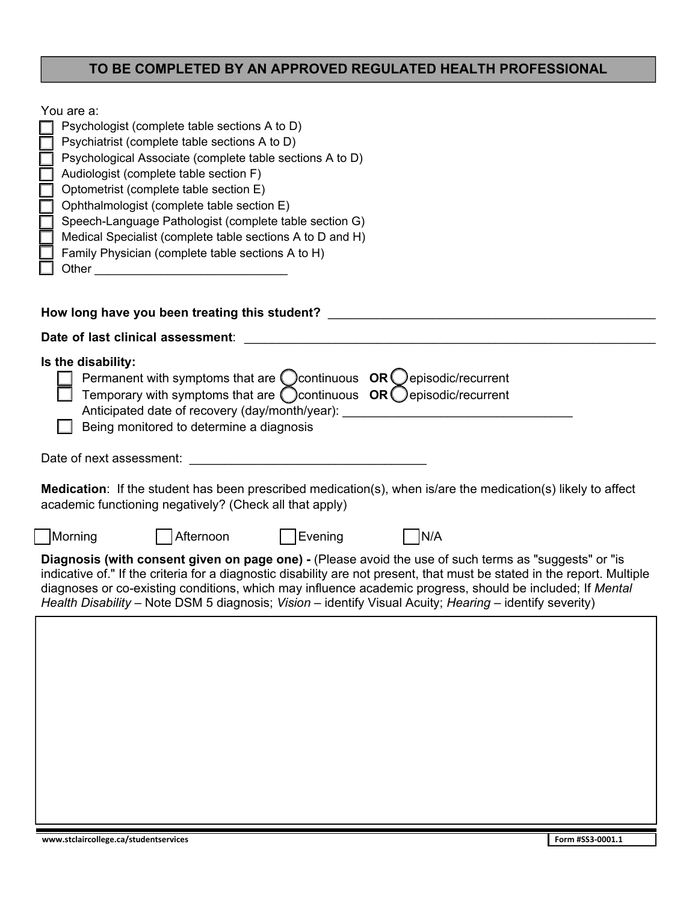### **TO BE COMPLETED BY AN APPROVED REGULATED HEALTH PROFESSIONAL**

| You are a:<br>Psychologist (complete table sections A to D)<br>Psychiatrist (complete table sections A to D)<br>Psychological Associate (complete table sections A to D)<br>Audiologist (complete table section F)<br>Optometrist (complete table section E)<br>Ophthalmologist (complete table section E)<br>Speech-Language Pathologist (complete table section G)<br>Medical Specialist (complete table sections A to D and H)<br>Family Physician (complete table sections A to H)<br>How long have you been treating this student? |
|-----------------------------------------------------------------------------------------------------------------------------------------------------------------------------------------------------------------------------------------------------------------------------------------------------------------------------------------------------------------------------------------------------------------------------------------------------------------------------------------------------------------------------------------|
| Date of last clinical assessment:                                                                                                                                                                                                                                                                                                                                                                                                                                                                                                       |
| Is the disability:<br>Permanent with symptoms that are $\bigcirc$ continuous $OR\bigcirc$ episodic/recurrent<br>Temporary with symptoms that are $\bigcirc$ continuous OR $\bigcirc$ episodic/recurrent<br>Anticipated date of recovery (day/month/year): _________________________________<br>Being monitored to determine a diagnosis<br>Date of next assessment:<br><b>Medication</b> : If the student has been prescribed medication(s), when is/are the medication(s) likely to affect                                             |
| academic functioning negatively? (Check all that apply)                                                                                                                                                                                                                                                                                                                                                                                                                                                                                 |
| Afternoon<br>Evening<br>N/A<br>  Morning                                                                                                                                                                                                                                                                                                                                                                                                                                                                                                |
| Diagnosis (with consent given on page one) - (Please avoid the use of such terms as "suggests" or "is<br>indicative of." If the criteria for a diagnostic disability are not present, that must be stated in the report. Multiple<br>diagnoses or co-existing conditions, which may influence academic progress, should be included; If Mental<br>Health Disability - Note DSM 5 diagnosis; Vision - identify Visual Acuity; Hearing - identify severity)                                                                               |
|                                                                                                                                                                                                                                                                                                                                                                                                                                                                                                                                         |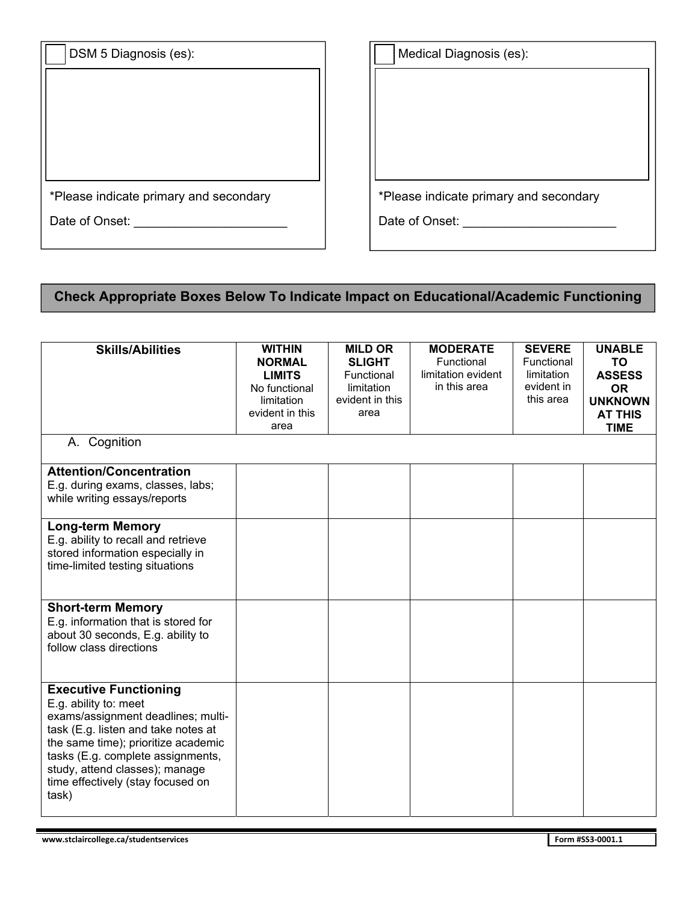| DSM 5 Diagnosis (es):                  |  |
|----------------------------------------|--|
|                                        |  |
|                                        |  |
|                                        |  |
|                                        |  |
| *Please indicate primary and secondary |  |
| Date of Onset:                         |  |

| Medical Diagnosis (es):                |  |
|----------------------------------------|--|
|                                        |  |
|                                        |  |
|                                        |  |
|                                        |  |
|                                        |  |
| *Please indicate primary and secondary |  |
| Date of Onset:                         |  |

# **Check Appropriate Boxes Below To Indicate Impact on Educational/Academic Functioning**

| <b>Skills/Abilities</b>             | <b>WITHIN</b>   | <b>MILD OR</b>  | <b>MODERATE</b>    | <b>SEVERE</b> | <b>UNABLE</b>  |
|-------------------------------------|-----------------|-----------------|--------------------|---------------|----------------|
|                                     | <b>NORMAL</b>   | <b>SLIGHT</b>   | Functional         | Functional    | <b>TO</b>      |
|                                     | <b>LIMITS</b>   | Functional      | limitation evident | limitation    | <b>ASSESS</b>  |
|                                     | No functional   | limitation      | in this area       | evident in    | <b>OR</b>      |
|                                     | limitation      | evident in this |                    | this area     | <b>UNKNOWN</b> |
|                                     | evident in this | area            |                    |               | <b>AT THIS</b> |
|                                     | area            |                 |                    |               | <b>TIME</b>    |
| A. Cognition                        |                 |                 |                    |               |                |
|                                     |                 |                 |                    |               |                |
| <b>Attention/Concentration</b>      |                 |                 |                    |               |                |
| E.g. during exams, classes, labs;   |                 |                 |                    |               |                |
| while writing essays/reports        |                 |                 |                    |               |                |
| <b>Long-term Memory</b>             |                 |                 |                    |               |                |
| E.g. ability to recall and retrieve |                 |                 |                    |               |                |
| stored information especially in    |                 |                 |                    |               |                |
| time-limited testing situations     |                 |                 |                    |               |                |
|                                     |                 |                 |                    |               |                |
|                                     |                 |                 |                    |               |                |
| <b>Short-term Memory</b>            |                 |                 |                    |               |                |
| E.g. information that is stored for |                 |                 |                    |               |                |
| about 30 seconds, E.g. ability to   |                 |                 |                    |               |                |
| follow class directions             |                 |                 |                    |               |                |
|                                     |                 |                 |                    |               |                |
|                                     |                 |                 |                    |               |                |
| <b>Executive Functioning</b>        |                 |                 |                    |               |                |
| E.g. ability to: meet               |                 |                 |                    |               |                |
| exams/assignment deadlines; multi-  |                 |                 |                    |               |                |
| task (E.g. listen and take notes at |                 |                 |                    |               |                |
| the same time); prioritize academic |                 |                 |                    |               |                |
| tasks (E.g. complete assignments,   |                 |                 |                    |               |                |
| study, attend classes); manage      |                 |                 |                    |               |                |
| time effectively (stay focused on   |                 |                 |                    |               |                |
| task)                               |                 |                 |                    |               |                |
|                                     |                 |                 |                    |               |                |
|                                     |                 |                 |                    |               |                |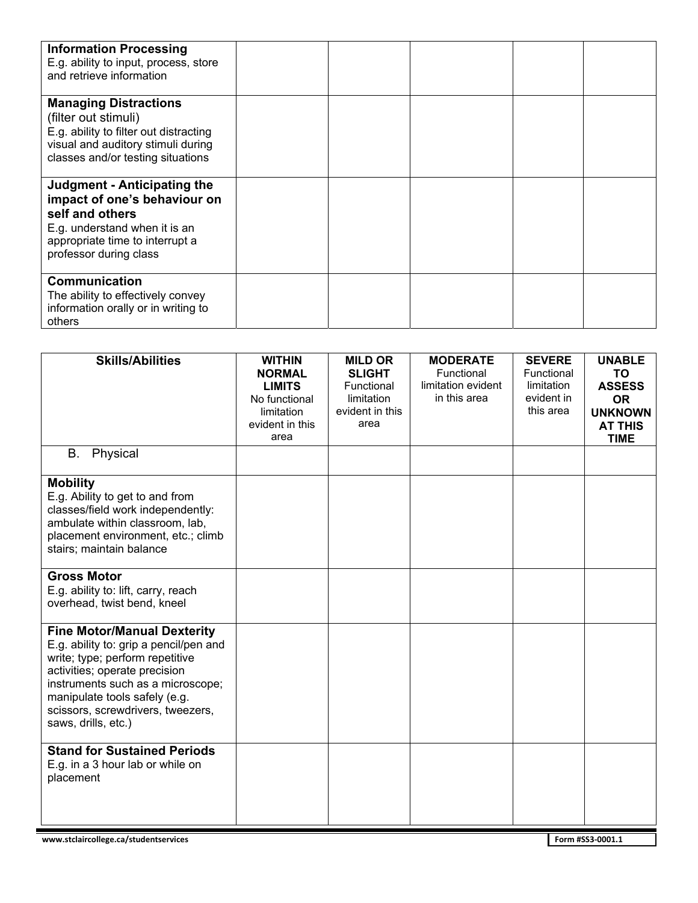| <b>Information Processing</b><br>E.g. ability to input, process, store<br>and retrieve information                                                                                  |  |  |  |
|-------------------------------------------------------------------------------------------------------------------------------------------------------------------------------------|--|--|--|
| <b>Managing Distractions</b><br>(filter out stimuli)<br>E.g. ability to filter out distracting<br>visual and auditory stimuli during<br>classes and/or testing situations           |  |  |  |
| <b>Judgment - Anticipating the</b><br>impact of one's behaviour on<br>self and others<br>E.g. understand when it is an<br>appropriate time to interrupt a<br>professor during class |  |  |  |
| <b>Communication</b><br>The ability to effectively convey<br>information orally or in writing to<br>others                                                                          |  |  |  |

| <b>Skills/Abilities</b>                | <b>WITHIN</b><br><b>NORMAL</b> | <b>MILD OR</b><br><b>SLIGHT</b> | <b>MODERATE</b><br>Functional | <b>SEVERE</b><br>Functional | <b>UNABLE</b><br><b>TO</b> |
|----------------------------------------|--------------------------------|---------------------------------|-------------------------------|-----------------------------|----------------------------|
|                                        | <b>LIMITS</b>                  | Functional                      | limitation evident            | limitation                  | <b>ASSESS</b>              |
|                                        | No functional                  | limitation                      | in this area                  | evident in                  | <b>OR</b>                  |
|                                        | limitation                     | evident in this                 |                               | this area                   | <b>UNKNOWN</b>             |
|                                        | evident in this                | area                            |                               |                             | <b>AT THIS</b>             |
|                                        | area                           |                                 |                               |                             | <b>TIME</b>                |
| Physical<br>В.                         |                                |                                 |                               |                             |                            |
| <b>Mobility</b>                        |                                |                                 |                               |                             |                            |
| E.g. Ability to get to and from        |                                |                                 |                               |                             |                            |
| classes/field work independently:      |                                |                                 |                               |                             |                            |
| ambulate within classroom, lab,        |                                |                                 |                               |                             |                            |
| placement environment, etc.; climb     |                                |                                 |                               |                             |                            |
| stairs; maintain balance               |                                |                                 |                               |                             |                            |
|                                        |                                |                                 |                               |                             |                            |
| <b>Gross Motor</b>                     |                                |                                 |                               |                             |                            |
| E.g. ability to: lift, carry, reach    |                                |                                 |                               |                             |                            |
| overhead, twist bend, kneel            |                                |                                 |                               |                             |                            |
| <b>Fine Motor/Manual Dexterity</b>     |                                |                                 |                               |                             |                            |
| E.g. ability to: grip a pencil/pen and |                                |                                 |                               |                             |                            |
| write; type; perform repetitive        |                                |                                 |                               |                             |                            |
| activities; operate precision          |                                |                                 |                               |                             |                            |
| instruments such as a microscope;      |                                |                                 |                               |                             |                            |
| manipulate tools safely (e.g.          |                                |                                 |                               |                             |                            |
| scissors, screwdrivers, tweezers,      |                                |                                 |                               |                             |                            |
| saws, drills, etc.)                    |                                |                                 |                               |                             |                            |
|                                        |                                |                                 |                               |                             |                            |
| <b>Stand for Sustained Periods</b>     |                                |                                 |                               |                             |                            |
| E.g. in a 3 hour lab or while on       |                                |                                 |                               |                             |                            |
| placement                              |                                |                                 |                               |                             |                            |
|                                        |                                |                                 |                               |                             |                            |
|                                        |                                |                                 |                               |                             |                            |
|                                        |                                |                                 |                               |                             |                            |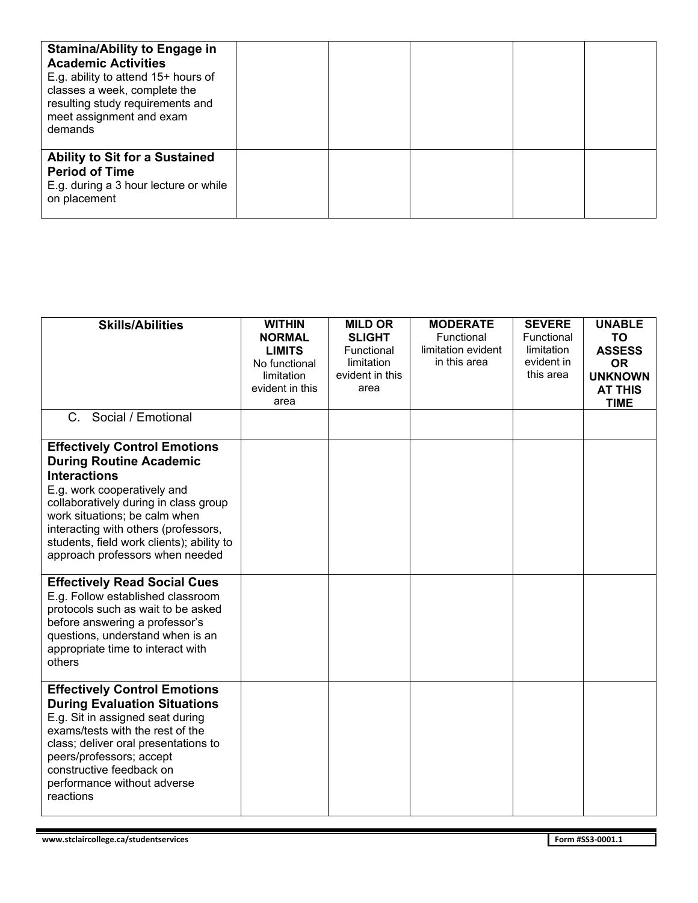| <b>Stamina/Ability to Engage in</b><br><b>Academic Activities</b><br>E.g. ability to attend 15+ hours of<br>classes a week, complete the<br>resulting study requirements and<br>meet assignment and exam<br>demands |  |  |  |
|---------------------------------------------------------------------------------------------------------------------------------------------------------------------------------------------------------------------|--|--|--|
| <b>Ability to Sit for a Sustained</b><br><b>Period of Time</b><br>E.g. during a 3 hour lecture or while<br>on placement                                                                                             |  |  |  |

| <b>Skills/Abilities</b>                                                                                                                                                                                                                                                                                                       | <b>WITHIN</b><br><b>NORMAL</b><br><b>LIMITS</b><br>No functional<br>limitation<br>evident in this<br>area | <b>MILD OR</b><br><b>SLIGHT</b><br>Functional<br>limitation<br>evident in this<br>area | <b>MODERATE</b><br>Functional<br>limitation evident<br>in this area | <b>SEVERE</b><br>Functional<br>limitation<br>evident in<br>this area | <b>UNABLE</b><br>TO<br><b>ASSESS</b><br><b>OR</b><br><b>UNKNOWN</b><br><b>AT THIS</b><br><b>TIME</b> |
|-------------------------------------------------------------------------------------------------------------------------------------------------------------------------------------------------------------------------------------------------------------------------------------------------------------------------------|-----------------------------------------------------------------------------------------------------------|----------------------------------------------------------------------------------------|---------------------------------------------------------------------|----------------------------------------------------------------------|------------------------------------------------------------------------------------------------------|
| Social / Emotional<br>$C_{\cdot}$                                                                                                                                                                                                                                                                                             |                                                                                                           |                                                                                        |                                                                     |                                                                      |                                                                                                      |
| <b>Effectively Control Emotions</b><br><b>During Routine Academic</b><br><b>Interactions</b><br>E.g. work cooperatively and<br>collaboratively during in class group<br>work situations; be calm when<br>interacting with others (professors,<br>students, field work clients); ability to<br>approach professors when needed |                                                                                                           |                                                                                        |                                                                     |                                                                      |                                                                                                      |
| <b>Effectively Read Social Cues</b><br>E.g. Follow established classroom<br>protocols such as wait to be asked<br>before answering a professor's<br>questions, understand when is an<br>appropriate time to interact with<br>others                                                                                           |                                                                                                           |                                                                                        |                                                                     |                                                                      |                                                                                                      |
| <b>Effectively Control Emotions</b><br><b>During Evaluation Situations</b><br>E.g. Sit in assigned seat during<br>exams/tests with the rest of the<br>class; deliver oral presentations to<br>peers/professors; accept<br>constructive feedback on<br>performance without adverse<br>reactions                                |                                                                                                           |                                                                                        |                                                                     |                                                                      |                                                                                                      |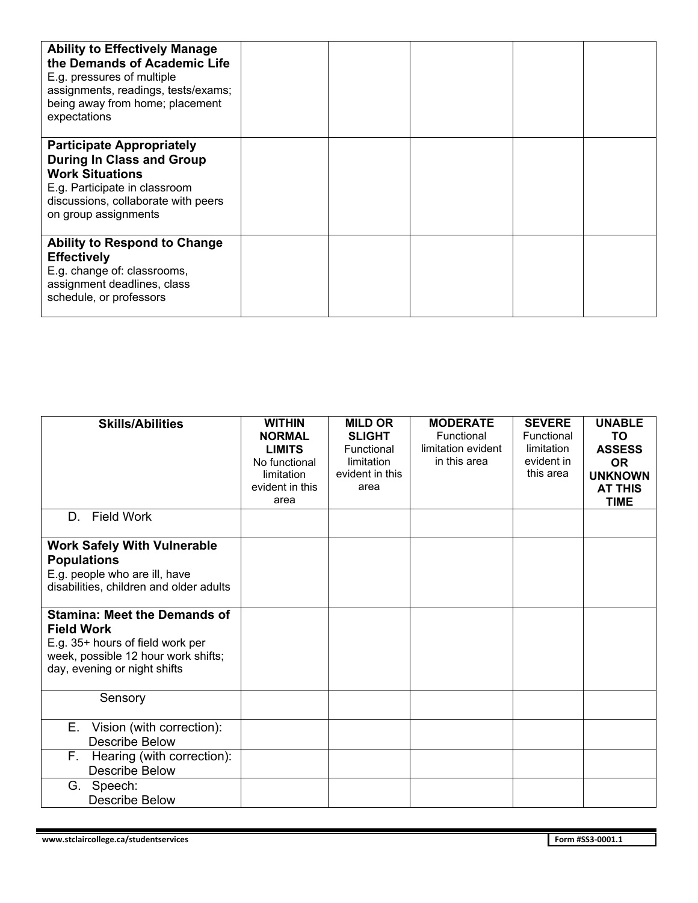| <b>Ability to Effectively Manage</b><br>the Demands of Academic Life<br>E.g. pressures of multiple<br>assignments, readings, tests/exams;<br>being away from home; placement<br>expectations   |  |  |  |
|------------------------------------------------------------------------------------------------------------------------------------------------------------------------------------------------|--|--|--|
| <b>Participate Appropriately</b><br><b>During In Class and Group</b><br><b>Work Situations</b><br>E.g. Participate in classroom<br>discussions, collaborate with peers<br>on group assignments |  |  |  |
| <b>Ability to Respond to Change</b><br><b>Effectively</b><br>E.g. change of: classrooms,<br>assignment deadlines, class<br>schedule, or professors                                             |  |  |  |

| <b>Skills/Abilities</b>                                                                                                                                             | <b>WITHIN</b><br><b>NORMAL</b><br><b>LIMITS</b><br>No functional | <b>MILD OR</b><br><b>SLIGHT</b><br>Functional<br>limitation | <b>MODERATE</b><br>Functional<br>limitation evident<br>in this area | <b>SEVERE</b><br>Functional<br>limitation<br>evident in | <b>UNABLE</b><br>TO<br><b>ASSESS</b><br><b>OR</b> |
|---------------------------------------------------------------------------------------------------------------------------------------------------------------------|------------------------------------------------------------------|-------------------------------------------------------------|---------------------------------------------------------------------|---------------------------------------------------------|---------------------------------------------------|
|                                                                                                                                                                     | limitation<br>evident in this                                    | evident in this<br>area                                     |                                                                     | this area                                               | <b>UNKNOWN</b><br><b>AT THIS</b>                  |
| D. Field Work                                                                                                                                                       | area                                                             |                                                             |                                                                     |                                                         | <b>TIME</b>                                       |
| <b>Work Safely With Vulnerable</b><br><b>Populations</b><br>E.g. people who are ill, have<br>disabilities, children and older adults                                |                                                                  |                                                             |                                                                     |                                                         |                                                   |
| <b>Stamina: Meet the Demands of</b><br><b>Field Work</b><br>E.g. 35+ hours of field work per<br>week, possible 12 hour work shifts;<br>day, evening or night shifts |                                                                  |                                                             |                                                                     |                                                         |                                                   |
| Sensory                                                                                                                                                             |                                                                  |                                                             |                                                                     |                                                         |                                                   |
| Vision (with correction):<br>Е.<br><b>Describe Below</b>                                                                                                            |                                                                  |                                                             |                                                                     |                                                         |                                                   |
| F.<br>Hearing (with correction):<br><b>Describe Below</b>                                                                                                           |                                                                  |                                                             |                                                                     |                                                         |                                                   |
| Speech:<br>G.<br>Describe Below                                                                                                                                     |                                                                  |                                                             |                                                                     |                                                         |                                                   |